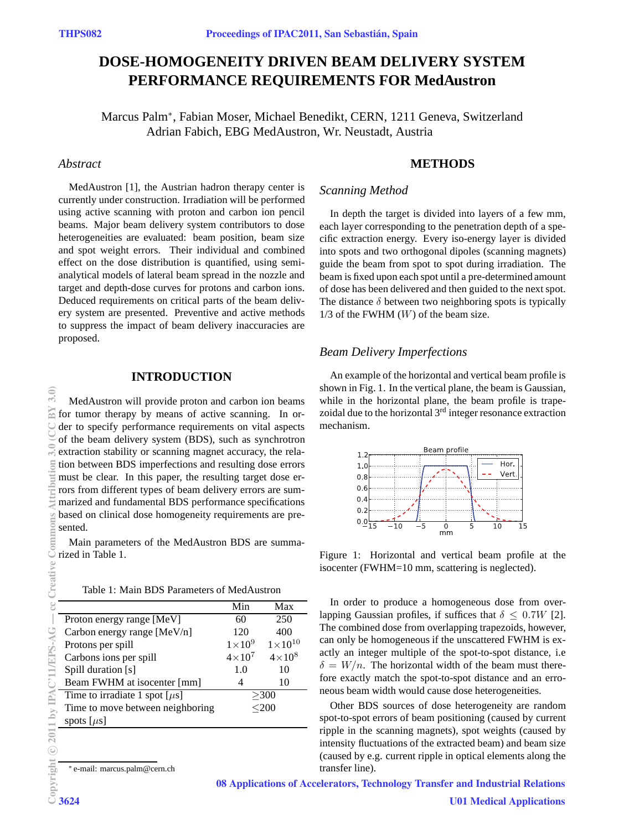# **DOSE-HOMOGENEITY DRIVEN BEAM DELIVERY SYSTEM PERFORMANCE REQUIREMENTS FOR MedAustron**

Marcus Palm<sup>∗</sup> , Fabian Moser, Michael Benedikt, CERN, 1211 Geneva, Switzerland Adrian Fabich, EBG MedAustron, Wr. Neustadt, Austria

# *Abstract*

MedAustron [1], the Austrian hadron therapy center is currently under construction. Irradiation will be performed using active scanning with proton and carbon ion pencil beams. Major beam delivery system contributors to dose heterogeneities are evaluated: beam position, beam size and spot weight errors. Their individual and combined effect on the dose distribution is quantified, using semianalytical models of lateral beam spread in the nozzle and target and depth-dose curves for protons and carbon ions. Deduced requirements on critical parts of the beam delivery system are presented. Preventive and active methods to suppress the impact of beam delivery inaccuracies are proposed.

# **INTRODUCTION**

MedAustron will provide proton and carbon ion beams **BY** for tumor therapy by means of active scanning. In order to specify performance requirements on vital aspects of the beam delivery system (BDS), such as synchrotron extraction stability or scanning magnet accuracy, the relation between BDS imperfections and resulting dose errors must be clear. In this paper, the resulting target dose errors from different types of beam delivery errors are summarized and fundamental BDS performance specifications based on clinical dose homogeneity requirements are presented.

Main parameters of the MedAustron BDS are summarized in Table 1.

Table 1: Main BDS Parameters of MedAustron

|                                    | Min           | Max                |
|------------------------------------|---------------|--------------------|
| Proton energy range [MeV]          | 60            | 250                |
| Carbon energy range [MeV/n]        | 120           | 400                |
| Protons per spill                  | $1\times10^9$ | $1 \times 10^{10}$ |
| Carbons ions per spill             | $4\times10^7$ | $4\times10^8$      |
| Spill duration [s]                 | 1.0           | 10                 |
| Beam FWHM at isocenter [mm]        |               | 10                 |
| Time to irradiate 1 spot $[\mu s]$ | >300          |                    |
| Time to move between neighboring   | $200$         |                    |
| spots $[\mu s]$                    |               |                    |
|                                    |               |                    |

<sup>∗</sup> e-mail: marcus.palm@cern.ch

# **METHODS**

## *Scanning Method*

In depth the target is divided into layers of a few mm, each layer corresponding to the penetration depth of a specific extraction energy. Every iso-energy layer is divided into spots and two orthogonal dipoles (scanning magnets) guide the beam from spot to spot during irradiation. The beam is fixed upon each spot until a pre-determined amount of dose has been delivered and then guided to the next spot. The distance  $\delta$  between two neighboring spots is typically  $1/3$  of the FWHM  $(W)$  of the beam size.

## *Beam Delivery Imperfections*

An example of the horizontal and vertical beam profile is shown in Fig. 1. In the vertical plane, the beam is Gaussian, while in the horizontal plane, the beam profile is trapezoidal due to the horizontal  $3<sup>rd</sup>$  integer resonance extraction mechanism.



Figure 1: Horizontal and vertical beam profile at the isocenter (FWHM=10 mm, scattering is neglected).

In order to produce a homogeneous dose from overlapping Gaussian profiles, if suffices that  $\delta \leq 0.7W$  [2]. The combined dose from overlapping trapezoids, however, can only be homogeneous if the unscattered FWHM is exactly an integer multiple of the spot-to-spot distance, i.e  $\delta = W/n$ . The horizontal width of the beam must therefore exactly match the spot-to-spot distance and an erroneous beam width would cause dose heterogeneities.

Other BDS sources of dose heterogeneity are random spot-to-spot errors of beam positioning (caused by current ripple in the scanning magnets), spot weights (caused by intensity fluctuations of the extracted beam) and beam size (caused by e.g. current ripple in optical elements along the transfer line).

 $3.0$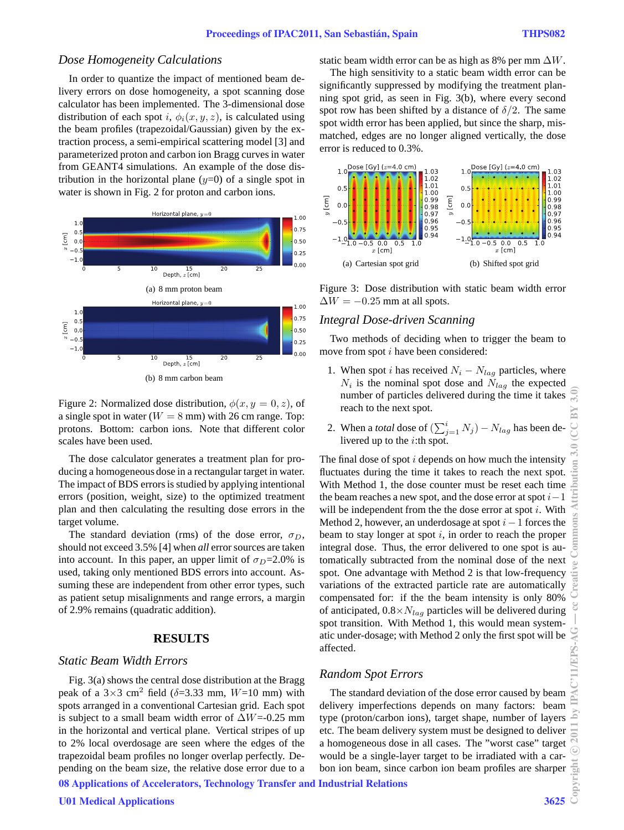## *Dose Homogeneity Calculations*

In order to quantize the impact of mentioned beam delivery errors on dose homogeneity, a spot scanning dose calculator has been implemented. The 3-dimensional dose distribution of each spot i,  $\phi_i(x, y, z)$ , is calculated using the beam profiles (trapezoidal/Gaussian) given by the extraction process, a semi-empirical scattering model [3] and parameterized proton and carbon ion Bragg curves in water from GEANT4 simulations. An example of the dose distribution in the horizontal plane  $(y=0)$  of a single spot in water is shown in Fig. 2 for proton and carbon ions.



(b) 8 mm carbon beam

Figure 2: Normalized dose distribution,  $\phi(x, y = 0, z)$ , of a single spot in water ( $W = 8$  mm) with 26 cm range. Top: protons. Bottom: carbon ions. Note that different color scales have been used.

The dose calculator generates a treatment plan for producing a homogeneous dose in a rectangular target in water. The impact of BDS errors is studied by applying intentional errors (position, weight, size) to the optimized treatment plan and then calculating the resulting dose errors in the target volume.

The standard deviation (rms) of the dose error,  $\sigma_D$ , should not exceed 3.5% [4] when *all* error sources are taken into account. In this paper, an upper limit of  $\sigma_D=2.0\%$  is used, taking only mentioned BDS errors into account. Assuming these are independent from other error types, such as patient setup misalignments and range errors, a margin of 2.9% remains (quadratic addition).

# **RESULTS**

#### *Static Beam Width Errors*

Fig. 3(a) shows the central dose distribution at the Bragg peak of a  $3\times3$  cm<sup>2</sup> field ( $\delta$ =3.33 mm,  $W$ =10 mm) with spots arranged in a conventional Cartesian grid. Each spot is subject to a small beam width error of  $\Delta W = 0.25$  mm in the horizontal and vertical plane. Vertical stripes of up to 2% local overdosage are seen where the edges of the trapezoidal beam profiles no longer overlap perfectly. Depending on the beam size, the relative dose error due to a

08 Applications of Accelerators, Technology Transfer and Industrial Relations

static beam width error can be as high as 8% per mm  $\Delta W$ .

The high sensitivity to a static beam width error can be significantly suppressed by modifying the treatment planning spot grid, as seen in Fig. 3(b), where every second spot row has been shifted by a distance of  $\delta/2$ . The same spot width error has been applied, but since the sharp, mismatched, edges are no longer aligned vertically, the dose error is reduced to 0.3%.



Figure 3: Dose distribution with static beam width error  $\Delta W = -0.25$  mm at all spots.

#### *Integral Dose-driven Scanning*

Two methods of deciding when to trigger the beam to move from spot *i* have been considered:

- 1. When spot i has received  $N_i N_{lag}$  particles, where  $N_i$  is the nominal spot dose and  $N_{lag}$  the expected number of particles delivered during the time it takes reach to the next spot.
- 2. When a *total* dose of  $\left(\sum_{j=1}^{i} N_j\right) N_{lag}$  has been delivered up to the  $i$ :th spot.

The final dose of spot  $i$  depends on how much the intensity fluctuates during the time it takes to reach the next spot. With Method 1, the dose counter must be reset each time the beam reaches a new spot, and the dose error at spot  $i-1$ will be independent from the the dose error at spot  $i$ . With Method 2, however, an underdosage at spot  $i-1$  forces the beam to stay longer at spot  $i$ , in order to reach the proper integral dose. Thus, the error delivered to one spot is automatically subtracted from the nominal dose of the next spot. One advantage with Method 2 is that low-frequency variations of the extracted particle rate are automatically compensated for: if the the beam intensity is only 80% of anticipated,  $0.8 \times N_{lag}$  particles will be delivered during spot transition. With Method 1, this would mean systematic under-dosage; with Method 2 only the first spot will be affected.

## *Random Spot Errors*

The standard deviation of the dose error caused by beam delivery imperfections depends on many factors: beam type (proton/carbon ions), target shape, number of layers etc. The beam delivery system must be designed to deliver a homogeneous dose in all cases. The "worst case" target would be a single-layer target to be irradiated with a carbon ion beam, since carbon ion beam profiles are sharper